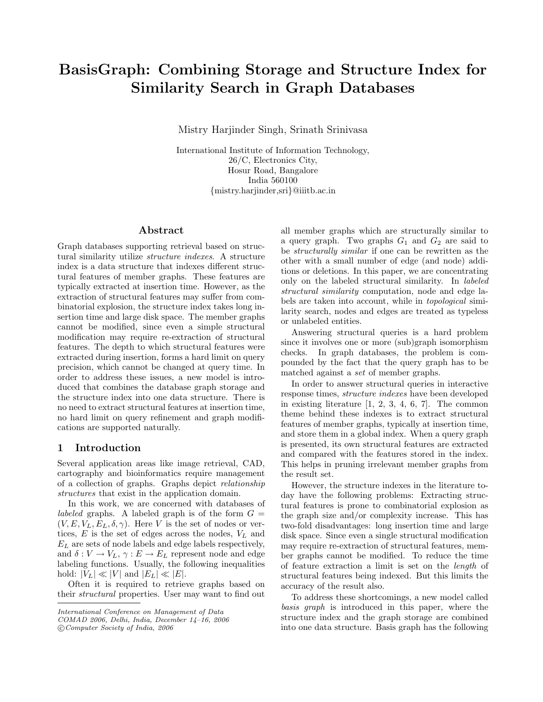# BasisGraph: Combining Storage and Structure Index for Similarity Search in Graph Databases

Mistry Harjinder Singh, Srinath Srinivasa

International Institute of Information Technology, 26/C, Electronics City, Hosur Road, Bangalore India 560100 {mistry.harjinder,sri}@iiitb.ac.in

# Abstract

Graph databases supporting retrieval based on structural similarity utilize structure indexes. A structure index is a data structure that indexes different structural features of member graphs. These features are typically extracted at insertion time. However, as the extraction of structural features may suffer from combinatorial explosion, the structure index takes long insertion time and large disk space. The member graphs cannot be modified, since even a simple structural modification may require re-extraction of structural features. The depth to which structural features were extracted during insertion, forms a hard limit on query precision, which cannot be changed at query time. In order to address these issues, a new model is introduced that combines the database graph storage and the structure index into one data structure. There is no need to extract structural features at insertion time, no hard limit on query refinement and graph modifications are supported naturally.

## 1 Introduction

Several application areas like image retrieval, CAD, cartography and bioinformatics require management of a collection of graphs. Graphs depict relationship structures that exist in the application domain.

In this work, we are concerned with databases of *labeled* graphs. A labeled graph is of the form  $G =$  $(V, E, V_L, E_L, \delta, \gamma)$ . Here V is the set of nodes or vertices,  $E$  is the set of edges across the nodes,  $V<sub>L</sub>$  and  $E_L$  are sets of node labels and edge labels respectively, and  $\delta: V \to V_L$ ,  $\gamma: E \to E_L$  represent node and edge labeling functions. Usually, the following inequalities hold:  $|V_L| \ll |V|$  and  $|E_L| \ll |E|$ .

Often it is required to retrieve graphs based on their structural properties. User may want to find out

c Computer Society of India, 2006

all member graphs which are structurally similar to a query graph. Two graphs  $G_1$  and  $G_2$  are said to be structurally similar if one can be rewritten as the other with a small number of edge (and node) additions or deletions. In this paper, we are concentrating only on the labeled structural similarity. In labeled structural similarity computation, node and edge labels are taken into account, while in topological similarity search, nodes and edges are treated as typeless or unlabeled entities.

Answering structural queries is a hard problem since it involves one or more (sub)graph isomorphism checks. In graph databases, the problem is compounded by the fact that the query graph has to be matched against a set of member graphs.

In order to answer structural queries in interactive response times, structure indexes have been developed in existing literature  $[1, 2, 3, 4, 6, 7]$ . The common theme behind these indexes is to extract structural features of member graphs, typically at insertion time, and store them in a global index. When a query graph is presented, its own structural features are extracted and compared with the features stored in the index. This helps in pruning irrelevant member graphs from the result set.

However, the structure indexes in the literature today have the following problems: Extracting structural features is prone to combinatorial explosion as the graph size and/or complexity increase. This has two-fold disadvantages: long insertion time and large disk space. Since even a single structural modification may require re-extraction of structural features, member graphs cannot be modified. To reduce the time of feature extraction a limit is set on the length of structural features being indexed. But this limits the accuracy of the result also.

To address these shortcomings, a new model called basis graph is introduced in this paper, where the structure index and the graph storage are combined into one data structure. Basis graph has the following

International Conference on Management of Data

COMAD 2006, Delhi, India, December 14–16, 2006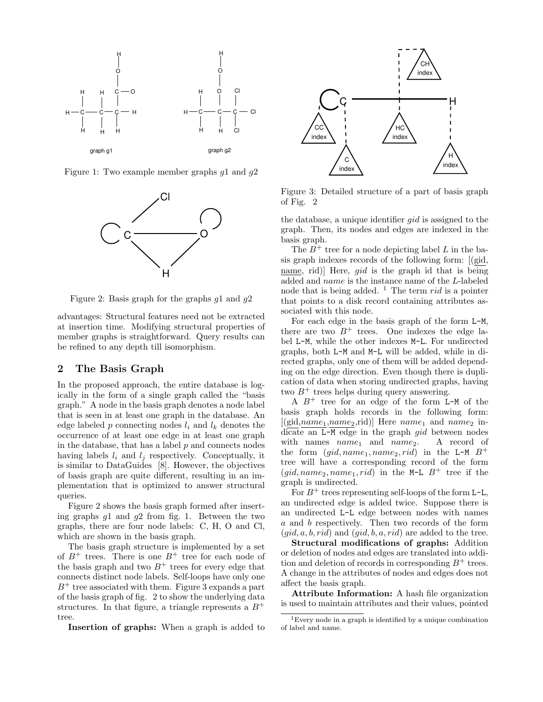

Figure 1: Two example member graphs  $q_1$  and  $q_2$ 



Figure 2: Basis graph for the graphs  $q_1$  and  $q_2$ 

advantages: Structural features need not be extracted at insertion time. Modifying structural properties of member graphs is straightforward. Query results can be refined to any depth till isomorphism.

# 2 The Basis Graph

In the proposed approach, the entire database is logically in the form of a single graph called the "basis graph." A node in the basis graph denotes a node label that is seen in at least one graph in the database. An edge labeled p connecting nodes  $l_i$  and  $l_k$  denotes the occurrence of at least one edge in at least one graph in the database, that has a label  $p$  and connects nodes having labels  $l_i$  and  $l_j$  respectively. Conceptually, it is similar to DataGuides [8]. However, the objectives of basis graph are quite different, resulting in an implementation that is optimized to answer structural queries.

Figure 2 shows the basis graph formed after inserting graphs  $g_1$  and  $g_2$  from fig. 1. Between the two graphs, there are four node labels: C, H, O and Cl, which are shown in the basis graph.

The basis graph structure is implemented by a set of  $B^+$  trees. There is one  $B^+$  tree for each node of the basis graph and two  $B^+$  trees for every edge that connects distinct node labels. Self-loops have only one  $B^+$  tree associated with them. Figure 3 expands a part of the basis graph of fig. 2 to show the underlying data structures. In that figure, a triangle represents a  $B^+$ tree.

Insertion of graphs: When a graph is added to



Figure 3: Detailed structure of a part of basis graph of Fig. 2

the database, a unique identifier gid is assigned to the graph. Then, its nodes and edges are indexed in the basis graph.

The  $B^+$  tree for a node depicting label L in the basis graph indexes records of the following form: [(gid, name, rid)] Here, gid is the graph id that is being added and name is the instance name of the L-labeled node that is being added.  $\frac{1}{1}$  The term rid is a pointer that points to a disk record containing attributes associated with this node.

For each edge in the basis graph of the form L-M, there are two  $B^+$  trees. One indexes the edge label L-M, while the other indexes M-L. For undirected graphs, both L-M and M-L will be added, while in directed graphs, only one of them will be added depending on the edge direction. Even though there is duplication of data when storing undirected graphs, having two  $B^+$  trees helps during query answering.

A  $B^+$  tree for an edge of the form L-M of the basis graph holds records in the following form:  $[(\text{gid},name_1,name_2,\text{rid})]$  Here  $name_1$  and  $name_2$  indicate an L-M edge in the graph *gid* between nodes with names  $name_1$  and  $name_2$ . A record of the form  $(gid, name_1, name_2, rid)$  in the L-M  $B^+$ tree will have a corresponding record of the form  $(gid, name_2, name_1, rid)$  in the M-L  $B^+$  tree if the graph is undirected.

For  $B^+$  trees representing self-loops of the form L-L, an undirected edge is added twice. Suppose there is an undirected L-L edge between nodes with names a and b respectively. Then two records of the form  $(qid, a, b, rid)$  and  $(qid, b, a, rid)$  are added to the tree.

Structural modifications of graphs: Addition or deletion of nodes and edges are translated into addition and deletion of records in corresponding  $B^+$  trees. A change in the attributes of nodes and edges does not affect the basis graph.

Attribute Information: A hash file organization is used to maintain attributes and their values, pointed

<sup>1</sup>Every node in a graph is identified by a unique combination of label and name.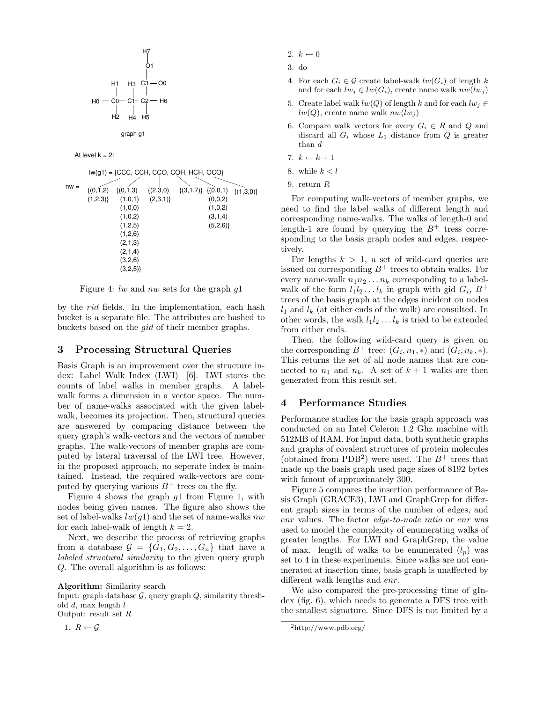

$$
\text{graph}\ g1
$$

At level  $k = 2$ :

$$
I(\mathbf{y}) = \{CCC, CCH, CCO, COH, HCH, OCO\}
$$
\n
$$
I(\mathbf{y}) = \{ (0,1,2) \quad \{(0,1,3) \quad \{(2,3,0) \quad \{(3,1,7)\} \quad \{(0,0,1) \quad \{(1,3,0)\} \quad \{(1,2,3)\} \quad (1,0,1) \quad (2,3,1) \}
$$
\n
$$
I(\mathbf{y}, \mathbf{y}) = \{ (1,0,0) \quad \{(1,0,2) \quad (1,0,2) \quad (1,0,2) \quad (1,2,5) \quad (1,2,5) \quad (1,2,6) \quad (2,1,3) \quad (2,1,4) \quad (3,2,6) \}
$$
\n
$$
I(\mathbf{y}, \mathbf{y}) = \{ (1,2,4) \quad (1,2,5) \quad (1,2,6) \quad (1,2,6) \quad (1,2,6) \quad (1,2,6) \quad (2,1,4) \quad (2,2,6) \}
$$

Figure 4: lw and nw sets for the graph  $q1$ 

by the rid fields. In the implementation, each hash bucket is a separate file. The attributes are hashed to buckets based on the gid of their member graphs.

#### 3 Processing Structural Queries

Basis Graph is an improvement over the structure index: Label Walk Index (LWI) [6]. LWI stores the counts of label walks in member graphs. A labelwalk forms a dimension in a vector space. The number of name-walks associated with the given labelwalk, becomes its projection. Then, structural queries are answered by comparing distance between the query graph's walk-vectors and the vectors of member graphs. The walk-vectors of member graphs are computed by lateral traversal of the LWI tree. However, in the proposed approach, no seperate index is maintained. Instead, the required walk-vectors are computed by querying various  $B^+$  trees on the fly.

Figure 4 shows the graph g1 from Figure 1, with nodes being given names. The figure also shows the set of label-walks  $lw(q1)$  and the set of name-walks  $nw$ for each label-walk of length  $k = 2$ .

Next, we describe the process of retrieving graphs from a database  $\mathcal{G} = \{G_1, G_2, \ldots, G_n\}$  that have a labeled structural similarity to the given query graph Q. The overall algorithm is as follows:

Algorithm: Similarity search

Input: graph database  $G$ , query graph  $Q$ , similarity threshold  $d$ , max length  $l$ Output: result set  $R$ 

1.  $R \leftarrow \mathcal{G}$ 

- 2.  $k \leftarrow 0$
- 3. do
- 4. For each  $G_i \in \mathcal{G}$  create label-walk  $lw(G_i)$  of length k and for each  $lw_i \in lw(G_i)$ , create name walk  $nw(lw_i)$
- 5. Create label walk  $lw(Q)$  of length k and for each  $lw_i \in$  $lw(Q)$ , create name walk  $nw(lw_i)$
- 6. Compare walk vectors for every  $G_i \in R$  and Q and discard all  $G_i$  whose  $L_1$  distance from  $Q$  is greater than d
- 7.  $k \leftarrow k + 1$
- 8. while  $k < l$
- 9. return R

For computing walk-vectors of member graphs, we need to find the label walks of different length and corresponding name-walks. The walks of length-0 and length-1 are found by querying the  $B^+$  tress corresponding to the basis graph nodes and edges, respectively.

For lengths  $k > 1$ , a set of wild-card queries are issued on corresponding  $B^+$  trees to obtain walks. For every name-walk  $n_1 n_2 \ldots n_k$  corresponding to a labelwalk of the form  $l_1 l_2 \dots l_k$  in graph with gid  $G_i$ ,  $B^+$ trees of the basis graph at the edges incident on nodes  $l_1$  and  $l_k$  (at either ends of the walk) are consulted. In other words, the walk  $l_1l_2 \ldots l_k$  is tried to be extended from either ends.

Then, the following wild-card query is given on the corresponding  $B^+$  tree:  $(G_i, n_1, *)$  and  $(G_i, n_k, *)$ . This returns the set of all node names that are connected to  $n_1$  and  $n_k$ . A set of  $k+1$  walks are then generated from this result set.

## 4 Performance Studies

Performance studies for the basis graph approach was conducted on an Intel Celeron 1.2 Ghz machine with 512MB of RAM. For input data, both synthetic graphs and graphs of covalent structures of protein molecules (obtained from PDB<sup>2</sup>) were used. The  $B^+$  trees that made up the basis graph used page sizes of 8192 bytes with fanout of approximately 300.

Figure 5 compares the insertion performance of Basis Graph (GRACE3), LWI and GraphGrep for different graph sizes in terms of the number of edges, and enr values. The factor edge-to-node ratio or enr was used to model the complexity of enumerating walks of greater lengths. For LWI and GraphGrep, the value of max. length of walks to be enumerated  $(l_p)$  was set to 4 in these experiments. Since walks are not enumerated at insertion time, basis graph is unaffected by different walk lengths and enr.

We also compared the pre-processing time of gIndex (fig. 6), which needs to generate a DFS tree with the smallest signature. Since DFS is not limited by a

<sup>2</sup>http://www.pdb.org/